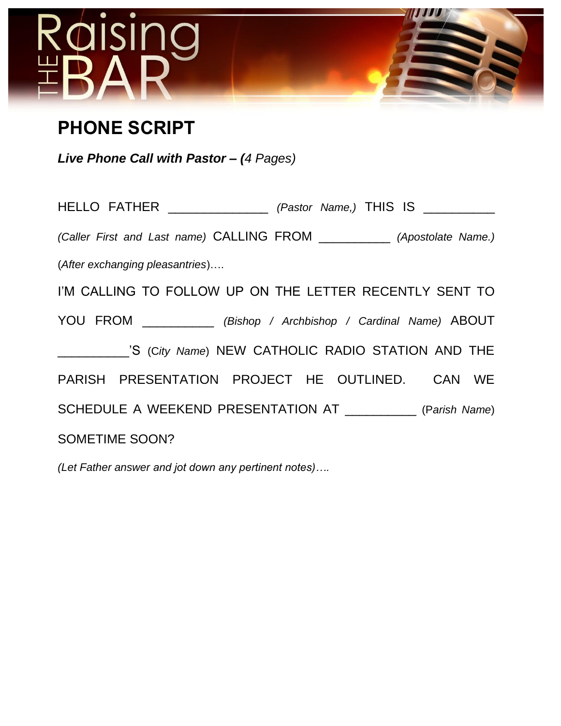

# **PHONE SCRIPT**

*Live Phone Call with Pastor – (4 Pages)*

HELLO FATHER \_\_\_\_\_\_\_\_\_\_\_\_\_\_ *(Pastor Name,)* THIS IS \_\_\_\_\_\_\_\_\_\_ *(Caller First and Last name)* CALLING FROM \_\_\_\_\_\_\_\_\_\_ *(Apostolate Name.)* (*After exchanging pleasantries*)…. I'M CALLING TO FOLLOW UP ON THE LETTER RECENTLY SENT TO YOU FROM \_\_\_\_\_\_\_\_\_\_ *(Bishop / Archbishop / Cardinal Name)* ABOUT \_\_\_\_\_\_\_\_\_\_'S (C*ity Name*) NEW CATHOLIC RADIO STATION AND THE PARISH PRESENTATION PROJECT HE OUTLINED. CAN WE SCHEDULE A WEEKEND PRESENTATION AT \_\_\_\_\_\_\_\_\_\_ (P*arish Name*) SOMETIME SOON?

*(Let Father answer and jot down any pertinent notes)….*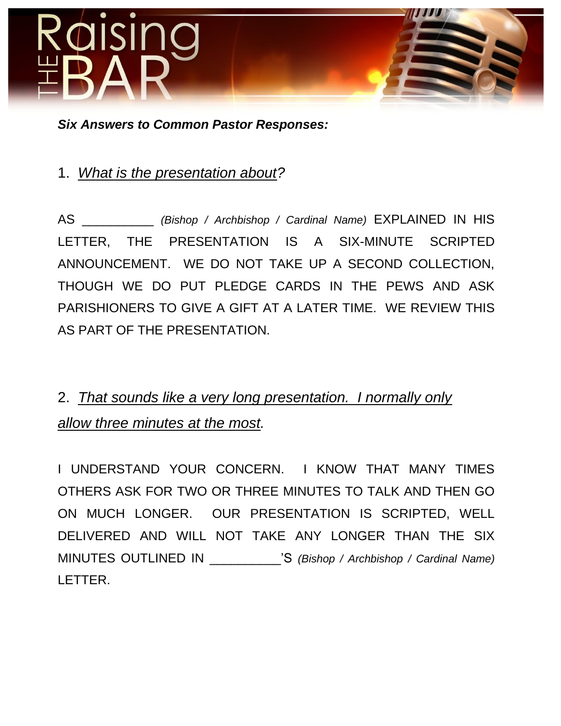

*Six Answers to Common Pastor Responses:*

## 1. *What is the presentation about?*

AS \_\_\_\_\_\_\_\_\_\_ *(Bishop / Archbishop / Cardinal Name)* EXPLAINED IN HIS LETTER, THE PRESENTATION IS A SIX-MINUTE SCRIPTED ANNOUNCEMENT. WE DO NOT TAKE UP A SECOND COLLECTION, THOUGH WE DO PUT PLEDGE CARDS IN THE PEWS AND ASK PARISHIONERS TO GIVE A GIFT AT A LATER TIME. WE REVIEW THIS AS PART OF THE PRESENTATION.

# 2. *That sounds like a very long presentation. I normally only allow three minutes at the most.*

I UNDERSTAND YOUR CONCERN. I KNOW THAT MANY TIMES OTHERS ASK FOR TWO OR THREE MINUTES TO TALK AND THEN GO ON MUCH LONGER. OUR PRESENTATION IS SCRIPTED, WELL DELIVERED AND WILL NOT TAKE ANY LONGER THAN THE SIX MINUTES OUTLINED IN \_\_\_\_\_\_\_\_\_\_'S *(Bishop / Archbishop / Cardinal Name)* LETTER.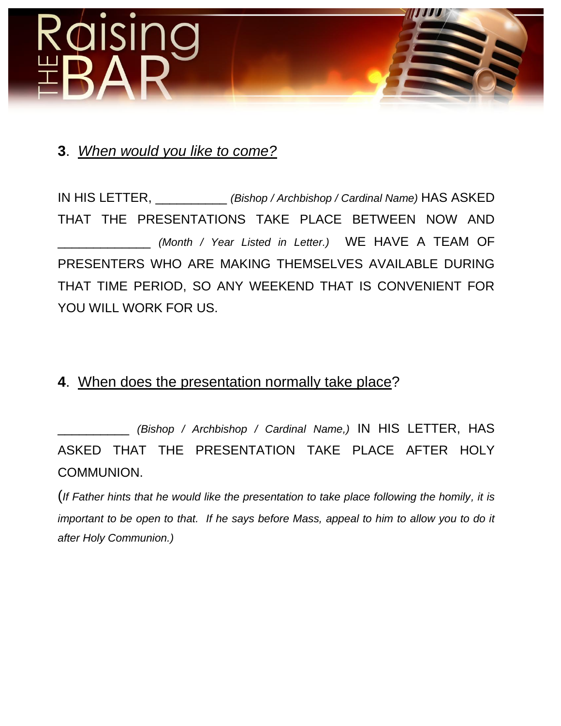

### **3**. *When would you like to come?*

IN HIS LETTER, \_\_\_\_\_\_\_\_\_\_ *(Bishop / Archbishop / Cardinal Name)* HAS ASKED THAT THE PRESENTATIONS TAKE PLACE BETWEEN NOW AND \_\_\_\_\_\_\_\_\_\_\_\_\_ *(Month / Year Listed in Letter.)* WE HAVE A TEAM OF PRESENTERS WHO ARE MAKING THEMSELVES AVAILABLE DURING THAT TIME PERIOD, SO ANY WEEKEND THAT IS CONVENIENT FOR YOU WILL WORK FOR US.

#### **4**. When does the presentation normally take place?

\_\_\_\_\_\_\_\_\_\_ *(Bishop / Archbishop / Cardinal Name,)* IN HIS LETTER, HAS ASKED THAT THE PRESENTATION TAKE PLACE AFTER HOLY COMMUNION.

(*If Father hints that he would like the presentation to take place following the homily, it is important to be open to that. If he says before Mass, appeal to him to allow you to do it after Holy Communion.)*